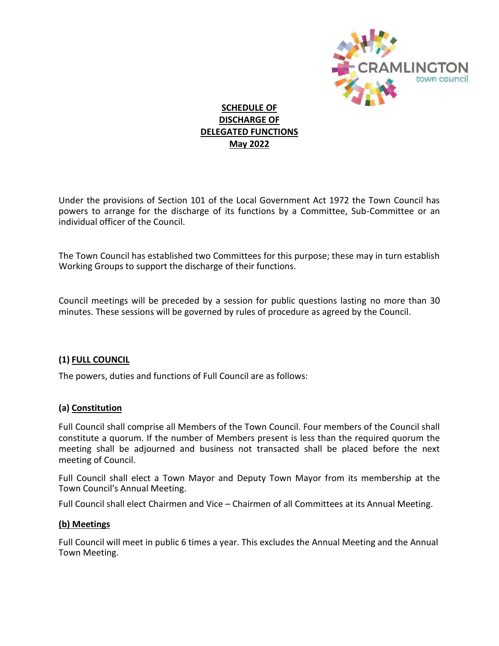

## **SCHEDULE OF DISCHARGE OF DELEGATED FUNCTIONS May 2022**

Under the provisions of Section 101 of the Local Government Act 1972 the Town Council has powers to arrange for the discharge of its functions by a Committee, Sub-Committee or an individual officer of the Council.

The Town Council has established two Committees for this purpose; these may in turn establish Working Groups to support the discharge of their functions.

Council meetings will be preceded by a session for public questions lasting no more than 30 minutes. These sessions will be governed by rules of procedure as agreed by the Council.

## **(1) FULL COUNCIL**

The powers, duties and functions of Full Council are as follows:

### **(a) Constitution**

Full Council shall comprise all Members of the Town Council. Four members of the Council shall constitute a quorum. If the number of Members present is less than the required quorum the meeting shall be adjourned and business not transacted shall be placed before the next meeting of Council.

Full Council shall elect a Town Mayor and Deputy Town Mayor from its membership at the Town Council's Annual Meeting.

Full Council shall elect Chairmen and Vice – Chairmen of all Committees at its Annual Meeting.

### **(b) Meetings**

Full Council will meet in public 6 times a year. This excludes the Annual Meeting and the Annual Town Meeting.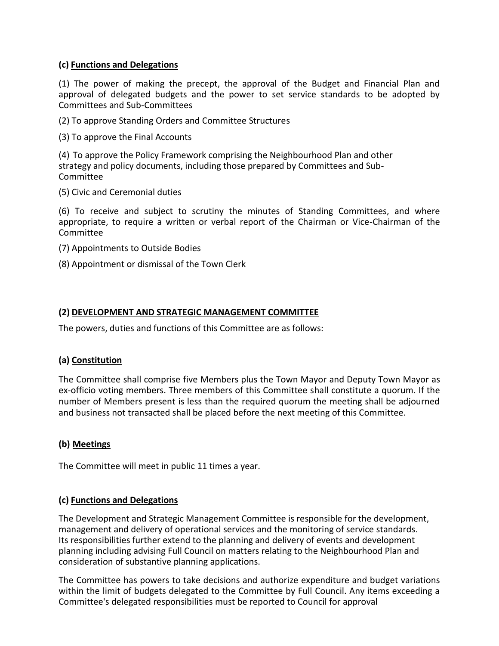### **(c) Functions and Delegations**

(1) The power of making the precept, the approval of the Budget and Financial Plan and approval of delegated budgets and the power to set service standards to be adopted by Committees and Sub-Committees

(2) To approve Standing Orders and Committee Structures

(3) To approve the Final Accounts

(4) To approve the Policy Framework comprising the Neighbourhood Plan and other strategy and policy documents, including those prepared by Committees and Sub-Committee

(5) Civic and Ceremonial duties

(6) To receive and subject to scrutiny the minutes of Standing Committees, and where appropriate, to require a written or verbal report of the Chairman or Vice-Chairman of the Committee

- (7) Appointments to Outside Bodies
- (8) Appointment or dismissal of the Town Clerk

### **(2) DEVELOPMENT AND STRATEGIC MANAGEMENT COMMITTEE**

The powers, duties and functions of this Committee are as follows:

### **(a) Constitution**

The Committee shall comprise five Members plus the Town Mayor and Deputy Town Mayor as ex-officio voting members. Three members of this Committee shall constitute a quorum. If the number of Members present is less than the required quorum the meeting shall be adjourned and business not transacted shall be placed before the next meeting of this Committee.

## **(b) Meetings**

The Committee will meet in public 11 times a year.

### **(c) Functions and Delegations**

The Development and Strategic Management Committee is responsible for the development, management and delivery of operational services and the monitoring of service standards. Its responsibilities further extend to the planning and delivery of events and development planning including advising Full Council on matters relating to the Neighbourhood Plan and consideration of substantive planning applications.

The Committee has powers to take decisions and authorize expenditure and budget variations within the limit of budgets delegated to the Committee by Full Council. Any items exceeding a Committee's delegated responsibilities must be reported to Council for approval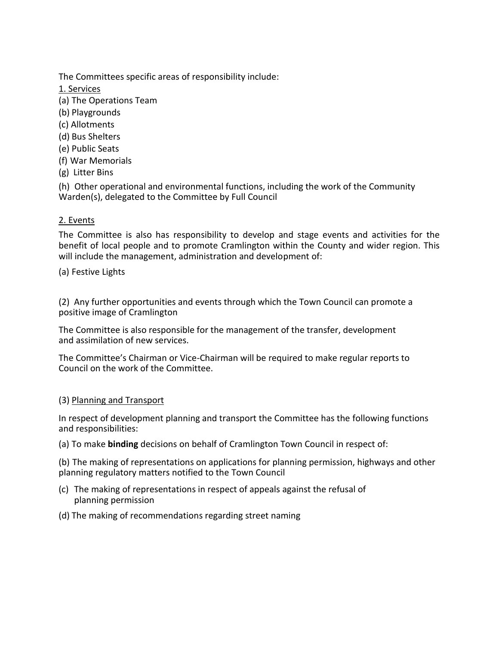The Committees specific areas of responsibility include:

1. Services

- (a) The Operations Team
- (b) Playgrounds
- (c) Allotments
- (d) Bus Shelters
- (e) Public Seats
- (f) War Memorials
- (g) Litter Bins

(h) Other operational and environmental functions, including the work of the Community Warden(s), delegated to the Committee by Full Council

## 2. Events

The Committee is also has responsibility to develop and stage events and activities for the benefit of local people and to promote Cramlington within the County and wider region. This will include the management, administration and development of:

(a) Festive Lights

(2) Any further opportunities and events through which the Town Council can promote a positive image of Cramlington

The Committee is also responsible for the management of the transfer, development and assimilation of new services.

The Committee's Chairman or Vice-Chairman will be required to make regular reports to Council on the work of the Committee.

## (3) Planning and Transport

In respect of development planning and transport the Committee has the following functions and responsibilities:

(a) To make **binding** decisions on behalf of Cramlington Town Council in respect of:

(b) The making of representations on applications for planning permission, highways and other planning regulatory matters notified to the Town Council

- (c) The making of representations in respect of appeals against the refusal of planning permission
- (d) The making of recommendations regarding street naming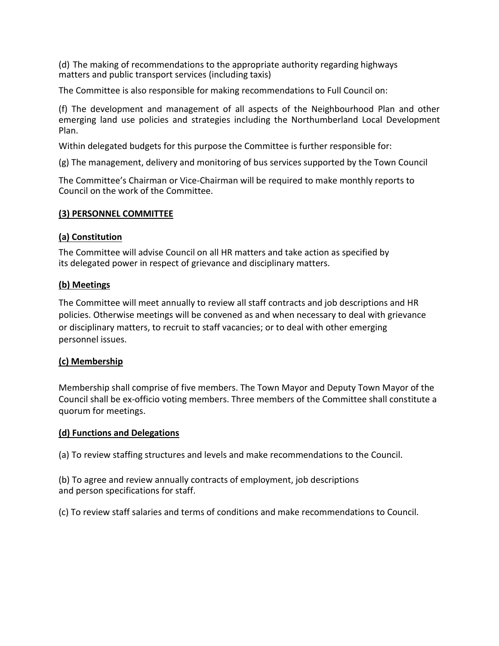(d) The making of recommendations to the appropriate authority regarding highways matters and public transport services (including taxis)

The Committee is also responsible for making recommendations to Full Council on:

(f) The development and management of all aspects of the Neighbourhood Plan and other emerging land use policies and strategies including the Northumberland Local Development Plan.

Within delegated budgets for this purpose the Committee is further responsible for:

(g) The management, delivery and monitoring of bus services supported by the Town Council

The Committee's Chairman or Vice-Chairman will be required to make monthly reports to Council on the work of the Committee.

#### **(3) PERSONNEL COMMITTEE**

#### **(a) Constitution**

The Committee will advise Council on all HR matters and take action as specified by its delegated power in respect of grievance and disciplinary matters.

### **(b) Meetings**

The Committee will meet annually to review all staff contracts and job descriptions and HR policies. Otherwise meetings will be convened as and when necessary to deal with grievance or disciplinary matters, to recruit to staff vacancies; or to deal with other emerging personnel issues.

### **(c) Membership**

Membership shall comprise of five members. The Town Mayor and Deputy Town Mayor of the Council shall be ex-officio voting members. Three members of the Committee shall constitute a quorum for meetings.

#### **(d) Functions and Delegations**

(a) To review staffing structures and levels and make recommendations to the Council.

(b) To agree and review annually contracts of employment, job descriptions and person specifications for staff.

(c) To review staff salaries and terms of conditions and make recommendations to Council.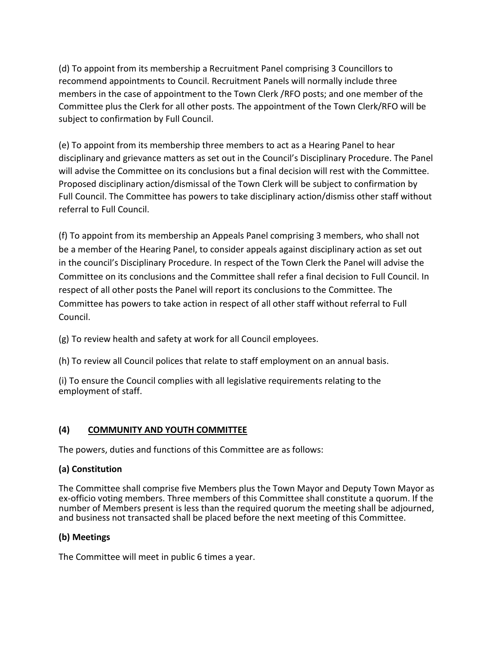(d) To appoint from its membership a Recruitment Panel comprising 3 Councillors to recommend appointments to Council. Recruitment Panels will normally include three members in the case of appointment to the Town Clerk /RFO posts; and one member of the Committee plus the Clerk for all other posts. The appointment of the Town Clerk/RFO will be subject to confirmation by Full Council.

(e) To appoint from its membership three members to act as a Hearing Panel to hear disciplinary and grievance matters as set out in the Council's Disciplinary Procedure. The Panel will advise the Committee on its conclusions but a final decision will rest with the Committee. Proposed disciplinary action/dismissal of the Town Clerk will be subject to confirmation by Full Council. The Committee has powers to take disciplinary action/dismiss other staff without referral to Full Council.

(f) To appoint from its membership an Appeals Panel comprising 3 members, who shall not be a member of the Hearing Panel, to consider appeals against disciplinary action as set out in the council's Disciplinary Procedure. In respect of the Town Clerk the Panel will advise the Committee on its conclusions and the Committee shall refer a final decision to Full Council. In respect of all other posts the Panel will report its conclusions to the Committee. The Committee has powers to take action in respect of all other staff without referral to Full Council.

(g) To review health and safety at work for all Council employees.

(h) To review all Council polices that relate to staff employment on an annual basis.

(i) To ensure the Council complies with all legislative requirements relating to the employment of staff.

# **(4) COMMUNITY AND YOUTH COMMITTEE**

The powers, duties and functions of this Committee are as follows:

# **(a) Constitution**

The Committee shall comprise five Members plus the Town Mayor and Deputy Town Mayor as ex-officio voting members. Three members of this Committee shall constitute a quorum. If the number of Members present is less than the required quorum the meeting shall be adjourned, and business not transacted shall be placed before the next meeting of this Committee.

# **(b) Meetings**

The Committee will meet in public 6 times a year.